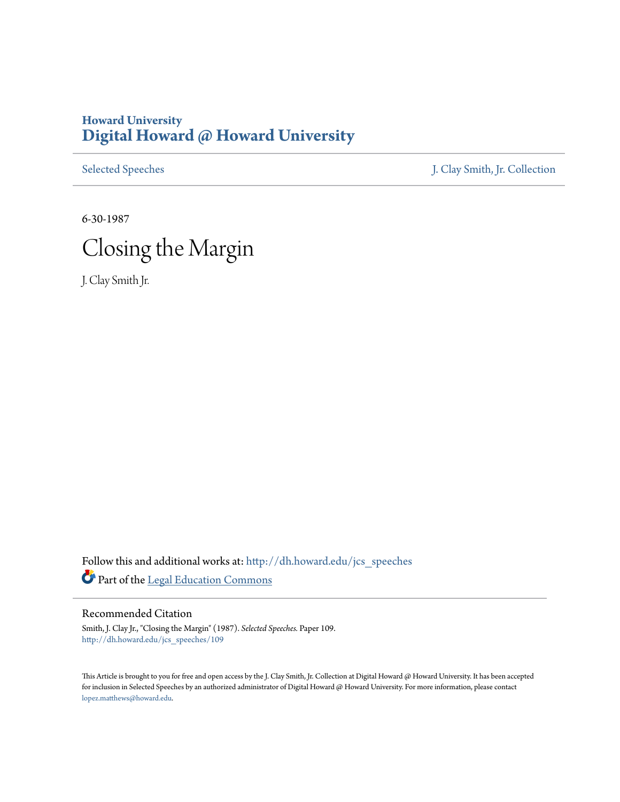## **Howard University [Digital Howard @ Howard University](http://dh.howard.edu?utm_source=dh.howard.edu%2Fjcs_speeches%2F109&utm_medium=PDF&utm_campaign=PDFCoverPages)**

[Selected Speeches](http://dh.howard.edu/jcs_speeches?utm_source=dh.howard.edu%2Fjcs_speeches%2F109&utm_medium=PDF&utm_campaign=PDFCoverPages) [J. Clay Smith, Jr. Collection](http://dh.howard.edu/jcsmith?utm_source=dh.howard.edu%2Fjcs_speeches%2F109&utm_medium=PDF&utm_campaign=PDFCoverPages)

6-30-1987



J. Clay Smith Jr.

Follow this and additional works at: [http://dh.howard.edu/jcs\\_speeches](http://dh.howard.edu/jcs_speeches?utm_source=dh.howard.edu%2Fjcs_speeches%2F109&utm_medium=PDF&utm_campaign=PDFCoverPages) Part of the [Legal Education Commons](http://network.bepress.com/hgg/discipline/857?utm_source=dh.howard.edu%2Fjcs_speeches%2F109&utm_medium=PDF&utm_campaign=PDFCoverPages)

Recommended Citation

Smith, J. Clay Jr., "Closing the Margin" (1987). *Selected Speeches.* Paper 109. [http://dh.howard.edu/jcs\\_speeches/109](http://dh.howard.edu/jcs_speeches/109?utm_source=dh.howard.edu%2Fjcs_speeches%2F109&utm_medium=PDF&utm_campaign=PDFCoverPages)

This Article is brought to you for free and open access by the J. Clay Smith, Jr. Collection at Digital Howard @ Howard University. It has been accepted for inclusion in Selected Speeches by an authorized administrator of Digital Howard @ Howard University. For more information, please contact [lopez.matthews@howard.edu.](mailto:lopez.matthews@howard.edu)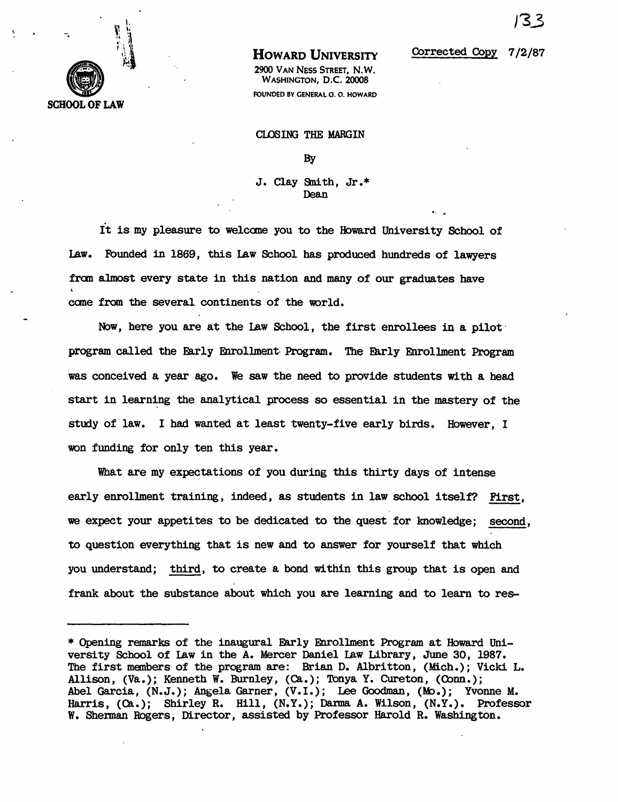

## HOWARD UNIVERSITY

2900 VAN NESS STREET, N.W. WASHINGTON, D.C. 20008 FOUNDED BY GENERAL O. O. HOWARD

## Corrected CopY 7/2/87

o. ..

ClDSING THE MARGIN

By

J. Clay Snith, Jr.\* Dean

It is my pleasure to welcome you to the Howard University School of Law. Fbunded in 1869, this Law School has produced hundreds of lawyers from almost every state in this nation and many of our graduates have came from the several continents of the world.

Now, here you are at the Law School, the first enrollees in a pilot program called the Early Enrollment· Program. The Early Enrollment Program was conceived a year ago. We saw the need to provide students with a head start in learning the analytical process so essential in the mastery of the study of law. I had wanted at least twenty-five early birds. However, I won funding for only ten this year.

What are my expectations of you during this thirty days of intense early enrollment training, indeed, as students in law school itself? First, we expect your appetites to be dedicated to the quest for knowledge; second, to question everything that is new and to answer for yourself that which you understand; third, to create a bond wi thin this group that is open and frank about the substance about which you are learning and to learn to res-

<sup>\*</sup> Opening remarks of the inaugural Farly Enrollment Program at Howard University School of law in the A. Mercer Daniel law Library, June 30, 1987. The first members of the program are: Brian D. Albritton, (Mich.); Vicki L. Allison, (Va.); Kenneth W. Burnley, (Ca.); Tonya Y. Cureton, (Conn.); Abel Garcia, (N.J.); Angela Garner, (V.I.); Lee Goodman, (Mo.); Yvonne M. Harris, (Ca.); Shirley R. Hill, (N.Y.); Darma A. Wilson, (N.Y.). Professor W. Shennan Rogers, Director, assisted by Professor Harold R. Washington.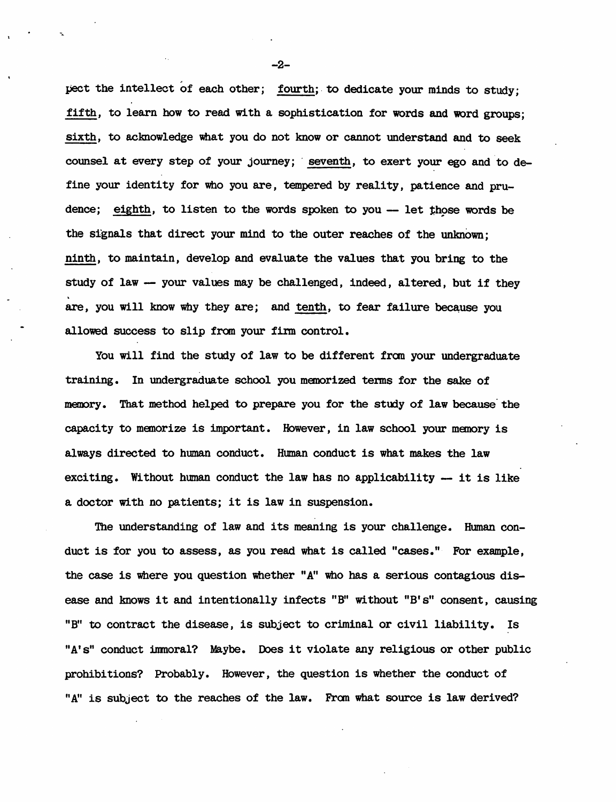pect the intellect of each other; fourth; to dedicate your minds to study; fifth, to learn how to read with a sophistication for words and word groups; sixth, to acknowledge what you do not know or cannot understand and to seek counsel at every step of your journey; seventh, to exert your ego and to define your identity for who you are, tempered by reality, patience and prudence; eighth, to listen to the words spoken to you -- let those words be the signals that direct your mind to the outer reaches of the unlmown; ninth, to maintain, develop and evaluate the values that you bring to the study of law -- your values may be challenged, indeed, altered, but if they are, you will know why they are; and tenth, to fear failure because you allowed success to slip from your firm control.

You will find the study of law to be different fran your undergraduate training. In undergraduate school you manorized tems for the sake of memory. That method helped to prepare you for the study of law because the capacity to memorize is important. However, in law school your memory is always directed to human conduct. Human conduct is what makes the law exciting. Without human conduct the law has no applicability  $-$  it is like a doctor with no patients; it is law in suspension.

The understanding of law and its meaning is your challenge. Human conduct is for you to assess, as you read what is called "cases." For example, the case is where you question whether "A" who has a serious contagious disease and knows it and intentionally infects "B" without "B's" consent, causing "B" to contract the disease, is subject to criminal or civil liability. Is "A's" conduct immoral? Maybe. Does it violate any religious or other public prohibi tions? Probably. However, the question is whether the conduct of "A" is subject to the reaches of the law. From what source is law derived?

-2-